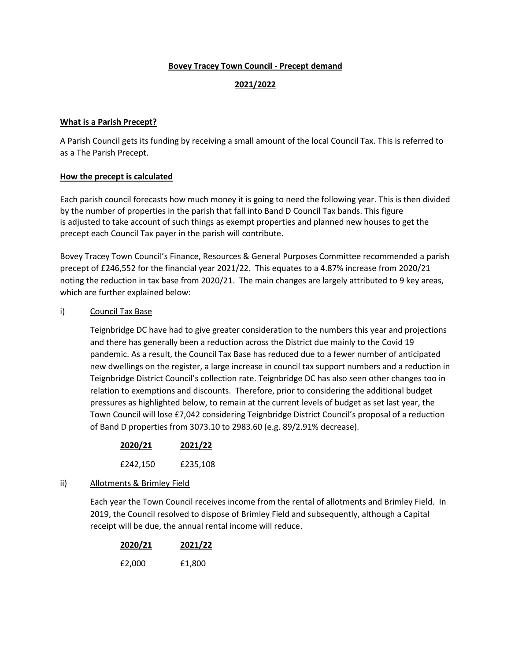### **Bovey Tracey Town Council - Precept demand**

## **2021/2022**

#### **What is a Parish Precept?**

A Parish Council gets its funding by receiving a small amount of the local Council Tax. This is referred to as a The Parish Precept.

#### **How the precept is calculated**

Each parish council forecasts how much money it is going to need the following year. This is then divided by the number of properties in the parish that fall into Band D Council Tax bands. This figure is adjusted to take account of such things as exempt properties and planned new houses to get the precept each Council Tax payer in the parish will contribute.

Bovey Tracey Town Council's Finance, Resources & General Purposes Committee recommended a parish precept of £246,552 for the financial year 2021/22. This equates to a 4.87% increase from 2020/21 noting the reduction in tax base from 2020/21. The main changes are largely attributed to 9 key areas, which are further explained below:

#### i) Council Tax Base

Teignbridge DC have had to give greater consideration to the numbers this year and projections and there has generally been a reduction across the District due mainly to the Covid 19 pandemic. As a result, the Council Tax Base has reduced due to a fewer number of anticipated new dwellings on the register, a large increase in council tax support numbers and a reduction in Teignbridge District Council's collection rate. Teignbridge DC has also seen other changes too in relation to exemptions and discounts. Therefore, prior to considering the additional budget pressures as highlighted below, to remain at the current levels of budget as set last year, the Town Council will lose £7,042 considering Teignbridge District Council's proposal of a reduction of Band D properties from 3073.10 to 2983.60 (e.g. 89/2.91% decrease).

| 2020/21  | 2021/22  |
|----------|----------|
| £242,150 | £235,108 |

### ii) Allotments & Brimley Field

Each year the Town Council receives income from the rental of allotments and Brimley Field. In 2019, the Council resolved to dispose of Brimley Field and subsequently, although a Capital receipt will be due, the annual rental income will reduce.

| 2020/21 | 2021/22 |  |
|---------|---------|--|
|         |         |  |
| £2,000  | £1,800  |  |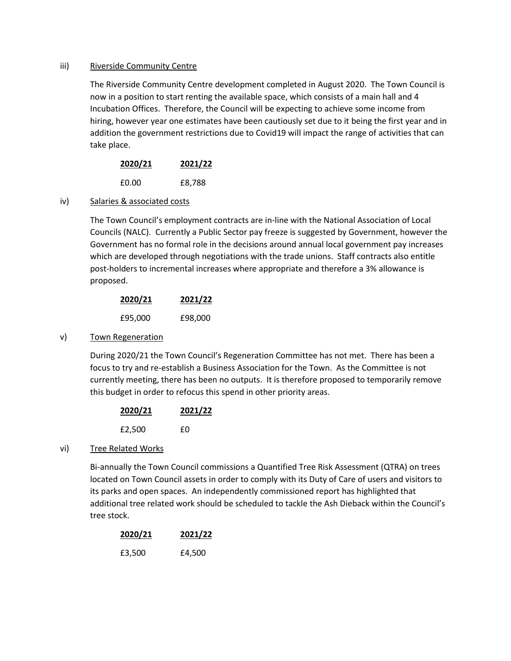#### iii) Riverside Community Centre

The Riverside Community Centre development completed in August 2020. The Town Council is now in a position to start renting the available space, which consists of a main hall and 4 Incubation Offices. Therefore, the Council will be expecting to achieve some income from hiring, however year one estimates have been cautiously set due to it being the first year and in addition the government restrictions due to Covid19 will impact the range of activities that can take place.

| 2020/21 | 2021/22 |
|---------|---------|
| £0.00   | £8,788  |

### iv) Salaries & associated costs

The Town Council's employment contracts are in-line with the National Association of Local Councils (NALC). Currently a Public Sector pay freeze is suggested by Government, however the Government has no formal role in the decisions around annual local government pay increases which are developed through negotiations with the trade unions. Staff contracts also entitle post-holders to incremental increases where appropriate and therefore a 3% allowance is proposed.

| 2020/21 | 2021/22 |
|---------|---------|
| £95,000 | £98,000 |

### v) Town Regeneration

During 2020/21 the Town Council's Regeneration Committee has not met. There has been a focus to try and re-establish a Business Association for the Town. As the Committee is not currently meeting, there has been no outputs. It is therefore proposed to temporarily remove this budget in order to refocus this spend in other priority areas.

| 2020/21 | 2021/22 |
|---------|---------|
| £2,500  | £0      |

### vi) Tree Related Works

Bi-annually the Town Council commissions a Quantified Tree Risk Assessment (QTRA) on trees located on Town Council assets in order to comply with its Duty of Care of users and visitors to its parks and open spaces. An independently commissioned report has highlighted that additional tree related work should be scheduled to tackle the Ash Dieback within the Council's tree stock.

| 2020/21 | 2021/22 |
|---------|---------|
| £3,500  | £4,500  |